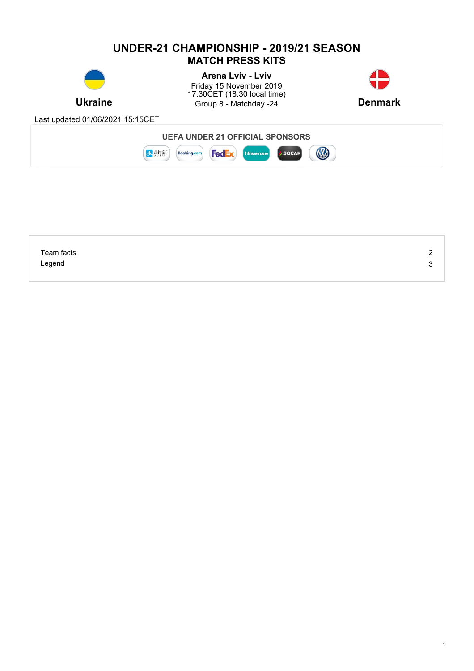# **UNDER-21 CHAMPIONSHIP - 2019/21 SEASON MATCH PRESS KITS**



**Ukraine Example 3** Group 8 - Matchday -24 **Denmark Denmark Arena Lviv - Lviv** Friday 15 November 2019 17.30CET (18.30 local time)



1

Last updated 01/06/2021 15:15CET



| Team facts | <u>.</u> |
|------------|----------|
| Legend     | ◠<br>ັ   |
|            |          |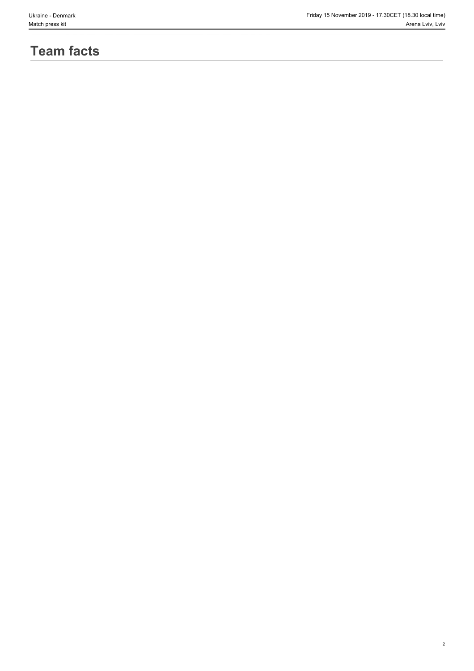2

# **Team facts**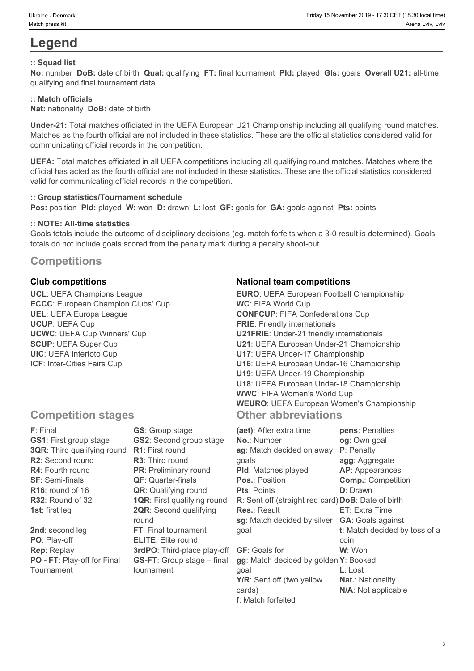# **Legend**

### **:: Squad list**

**No:** number **DoB:** date of birth **Qual:** qualifying **FT:** final tournament **Pld:** played **Gls:** goals **Overall U21:** all-time qualifying and final tournament data

## **:: Match officials**

**Nat:** nationality **DoB:** date of birth

**Under-21:** Total matches officiated in the UEFA European U21 Championship including all qualifying round matches. Matches as the fourth official are not included in these statistics. These are the official statistics considered valid for communicating official records in the competition.

**UEFA:** Total matches officiated in all UEFA competitions including all qualifying round matches. Matches where the official has acted as the fourth official are not included in these statistics. These are the official statistics considered valid for communicating official records in the competition.

#### **:: Group statistics/Tournament schedule**

**Pos:** position **Pld:** played **W:** won **D:** drawn **L:** lost **GF:** goals for **GA:** goals against **Pts:** points

#### **:: NOTE: All-time statistics**

Goals totals include the outcome of disciplinary decisions (eg. match forfeits when a 3-0 result is determined). Goals totals do not include goals scored from the penalty mark during a penalty shoot-out.

# **Competitions**

**UCL**: UEFA Champions League **ECCC**: European Champion Clubs' Cup **UEL**: UEFA Europa League **UCUP**: UEFA Cup **UCWC**: UEFA Cup Winners' Cup **SCUP**: UEFA Super Cup **UIC**: UEFA Intertoto Cup **ICF**: Inter-Cities Fairs Cup

### **Club competitions National team competitions**

| <b>EURO:</b> UEFA European Football Championship |  |
|--------------------------------------------------|--|
| <b>WC: FIFA World Cup</b>                        |  |
| <b>CONFCUP: FIFA Confederations Cup</b>          |  |
| <b>FRIE:</b> Friendly internationals             |  |
| <b>U21FRIE:</b> Under-21 friendly internationals |  |
| U21: UEFA European Under-21 Championship         |  |
| U17: UEFA Under-17 Championship                  |  |
| U16: UEFA European Under-16 Championship         |  |
| U19: UEFA Under-19 Championship                  |  |
| U18: UEFA European Under-18 Championship         |  |
| <b>WWC: FIFA Women's World Cup</b>               |  |
| <b>WEURO: UEFA European Women's Championship</b> |  |
| <b>Other abbreviations</b>                       |  |

# **Competition stages**

| F: Final                           | <b>GS:</b> Group stage             | (aet): After extra time                            | pens: Penalties               |
|------------------------------------|------------------------------------|----------------------------------------------------|-------------------------------|
| <b>GS1: First group stage</b>      | <b>GS2:</b> Second group stage     | <b>No.: Number</b>                                 | og: Own goal                  |
| <b>3QR:</b> Third qualifying round | <b>R1:</b> First round             | ag: Match decided on away                          | P: Penalty                    |
| R2: Second round                   | <b>R3:</b> Third round             | qoals                                              | agg: Aggregate                |
| <b>R4:</b> Fourth round            | <b>PR:</b> Preliminary round       | <b>PId:</b> Matches played                         | AP: Appearances               |
| <b>SF: Semi-finals</b>             | <b>QF: Quarter-finals</b>          | <b>Pos.: Position</b>                              | <b>Comp.: Competition</b>     |
| $R16$ : round of 16                | <b>QR:</b> Qualifying round        | <b>Pts: Points</b>                                 | <b>D</b> : Drawn              |
| R32: Round of 32                   | <b>1QR: First qualifying round</b> | R: Sent off (straight red card) DoB: Date of birth |                               |
| <b>1st:</b> first leg              | <b>2QR:</b> Second qualifying      | <b>Res.: Result</b>                                | <b>ET:</b> Extra Time         |
|                                    | round                              | sg: Match decided by silver                        | <b>GA:</b> Goals against      |
| 2nd: second leg                    | FT: Final tournament               | qoal                                               | t: Match decided by toss of a |
| PO: Play-off                       | <b>ELITE:</b> Elite round          |                                                    | coin                          |
| <b>Rep: Replay</b>                 | 3rdPO: Third-place play-off        | <b>GF: Goals for</b>                               | W: Won                        |
| PO - FT: Play-off for Final        | <b>GS-FT:</b> Group stage – final  | gg: Match decided by golden Y: Booked              |                               |
| Tournament                         | tournament                         | qoal                                               | $L:$ Lost                     |
|                                    |                                    | Y/R: Sent off (two yellow                          | <b>Nat.: Nationality</b>      |
|                                    |                                    | cards)                                             | N/A: Not applicable           |

**f**: Match forfeited